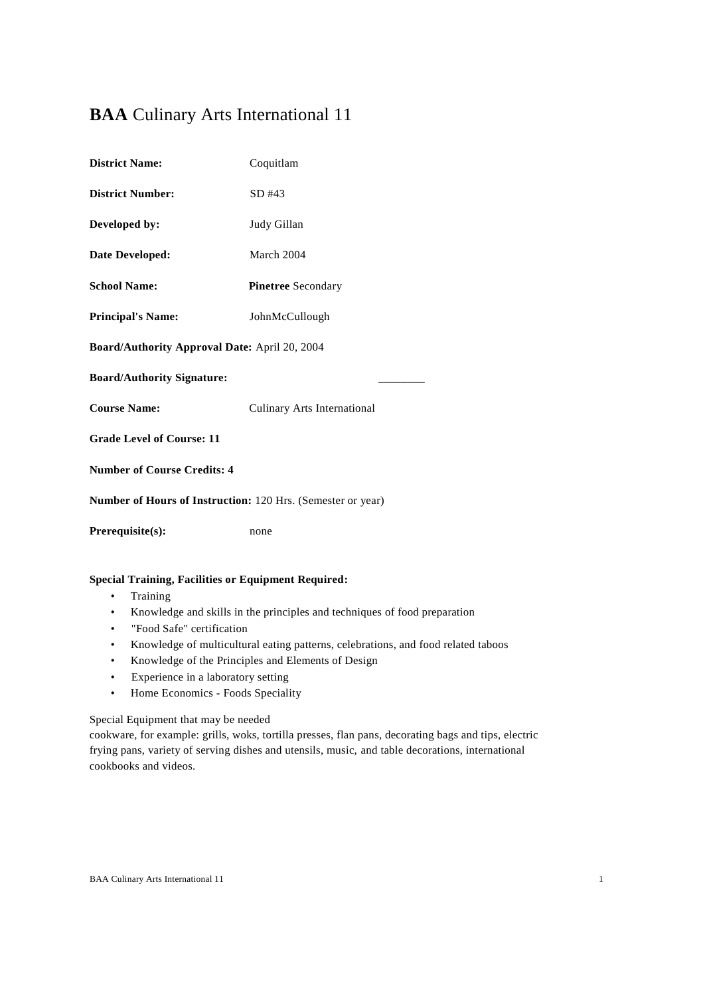# **BAA** Culinary Arts International 11

| <b>District Name:</b>                                       | Coquitlam                   |
|-------------------------------------------------------------|-----------------------------|
| <b>District Number:</b>                                     | $SD$ #43                    |
| Developed by:                                               | Judy Gillan                 |
| <b>Date Developed:</b>                                      | March 2004                  |
| <b>School Name:</b>                                         | <b>Pinetree</b> Secondary   |
| <b>Principal's Name:</b>                                    | JohnMcCullough              |
| Board/Authority Approval Date: April 20, 2004               |                             |
| <b>Board/Authority Signature:</b>                           |                             |
| <b>Course Name:</b>                                         | Culinary Arts International |
| <b>Grade Level of Course: 11</b>                            |                             |
| <b>Number of Course Credits: 4</b>                          |                             |
| Number of Hours of Instruction: 120 Hrs. (Semester or year) |                             |
| Prerequisite(s):                                            | none                        |

## **Special Training, Facilities or Equipment Required:**

- Training
- Knowledge and skills in the principles and techniques of food preparation
- "Food Safe" certification
- Knowledge of multicultural eating patterns, celebrations, and food related taboos
- Knowledge of the Principles and Elements of Design
- Experience in a laboratory setting
- Home Economics Foods Speciality

## Special Equipment that may be needed

cookware, for example: grills, woks, tortilla presses, flan pans, decorating bags and tips, electric frying pans, variety of serving dishes and utensils, music, and table decorations, international cookbooks and videos.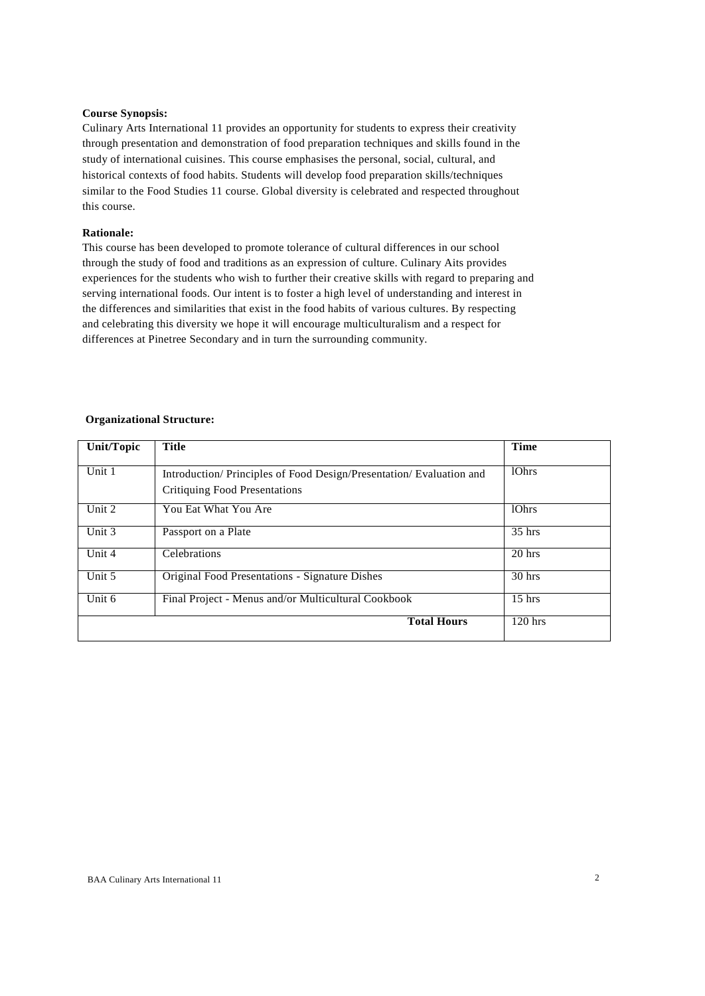### **Course Synopsis:**

Culinary Arts International 11 provides an opportunity for students to express their creativity through presentation and demonstration of food preparation techniques and skills found in the study of international cuisines. This course emphasises the personal, social, cultural, and historical contexts of food habits. Students will develop food preparation skills/techniques similar to the Food Studies 11 course. Global diversity is celebrated and respected throughout this course.

### **Rationale:**

This course has been developed to promote tolerance of cultural differences in our school through the study of food and traditions as an expression of culture. Culinary Aits provides experiences for the students who wish to further their creative skills with regard to preparing and serving international foods. Our intent is to foster a high level of understanding and interest in the differences and similarities that exist in the food habits of various cultures. By respecting and celebrating this diversity we hope it will encourage multiculturalism and a respect for differences at Pinetree Secondary and in turn the surrounding community.

### **Organizational Structure:**

| <b>Unit/Topic</b> | Title                                                              | <b>Time</b>       |
|-------------------|--------------------------------------------------------------------|-------------------|
|                   |                                                                    |                   |
| Unit 1            | Introduction/Principles of Food Design/Presentation/Evaluation and | 10 <sub>hrs</sub> |
|                   | <b>Critiquing Food Presentations</b>                               |                   |
| Unit 2            | You Eat What You Are                                               | 10hrs             |
| Unit 3            | Passport on a Plate                                                | $35$ hrs          |
| Unit 4            | Celebrations                                                       | 20 hrs            |
| Unit 5            | <b>Original Food Presentations - Signature Dishes</b>              | $30$ hrs          |
| Unit 6            | Final Project - Menus and/or Multicultural Cookbook                | $15$ hrs          |
|                   | <b>Total Hours</b>                                                 | $120$ hrs         |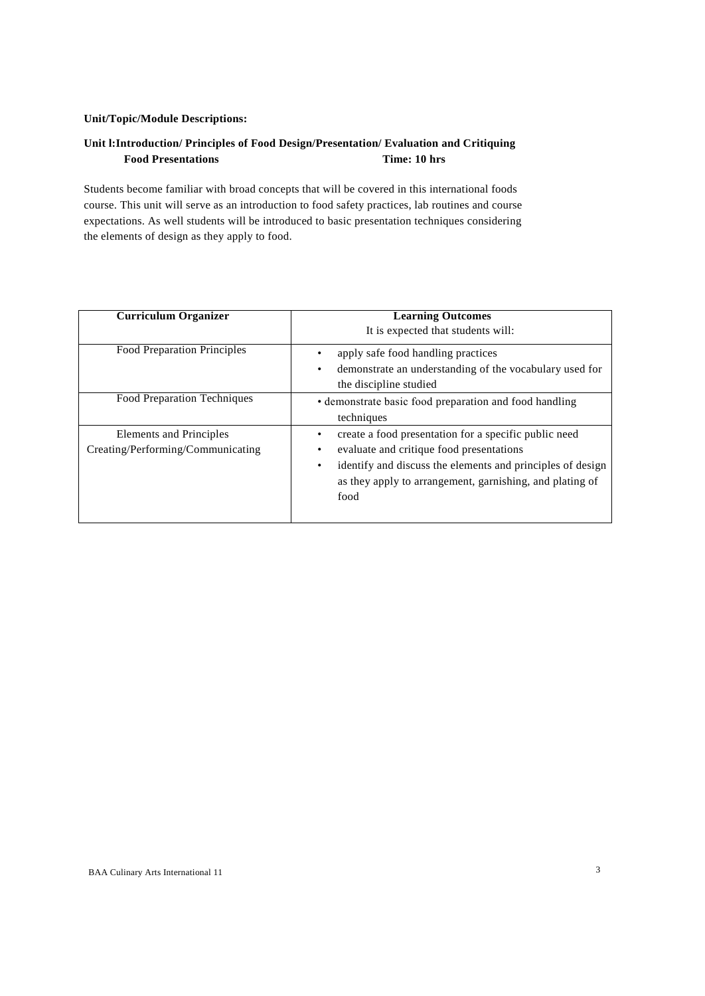## **Unit/Topic/Module Descriptions:**

## **Unit l:Introduction/ Principles of Food Design/Presentation/ Evaluation and Critiquing Food Presentations Time: 10 hrs**

Students become familiar with broad concepts that will be covered in this international foods course. This unit will serve as an introduction to food safety practices, lab routines and course expectations. As well students will be introduced to basic presentation techniques considering the elements of design as they apply to food.

| <b>Curriculum Organizer</b>                                  | <b>Learning Outcomes</b><br>It is expected that students will:                                                                                                                                                                           |
|--------------------------------------------------------------|------------------------------------------------------------------------------------------------------------------------------------------------------------------------------------------------------------------------------------------|
| <b>Food Preparation Principles</b>                           | apply safe food handling practices<br>demonstrate an understanding of the vocabulary used for<br>٠<br>the discipline studied                                                                                                             |
| <b>Food Preparation Techniques</b>                           | · demonstrate basic food preparation and food handling<br>techniques                                                                                                                                                                     |
| Elements and Principles<br>Creating/Performing/Communicating | create a food presentation for a specific public need<br>evaluate and critique food presentations<br>identify and discuss the elements and principles of design<br>٠<br>as they apply to arrangement, garnishing, and plating of<br>food |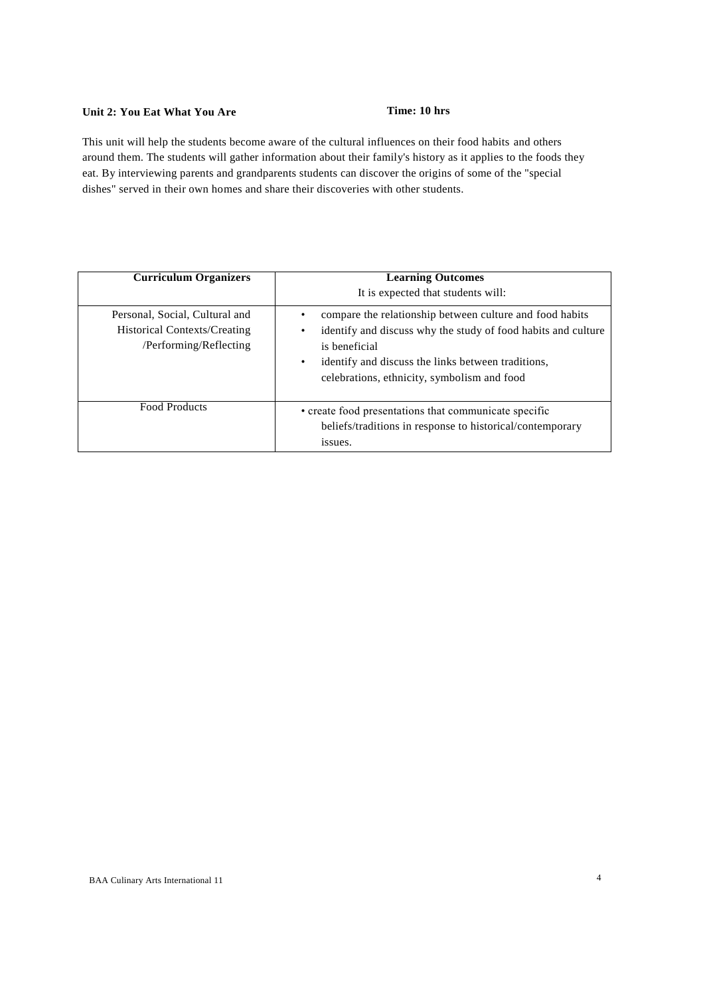## **Unit 2: You Eat What You Are Time: 10 hrs**

This unit will help the students become aware of the cultural influences on their food habits and others around them. The students will gather information about their family's history as it applies to the foods they eat. By interviewing parents and grandparents students can discover the origins of some of the "special dishes" served in their own homes and share their discoveries with other students.

| <b>Curriculum Organizers</b>                                                             | <b>Learning Outcomes</b><br>It is expected that students will:                                                                                                                                                                                                    |
|------------------------------------------------------------------------------------------|-------------------------------------------------------------------------------------------------------------------------------------------------------------------------------------------------------------------------------------------------------------------|
| Personal, Social, Cultural and<br>Historical Contexts/Creating<br>/Performing/Reflecting | compare the relationship between culture and food habits<br>identify and discuss why the study of food habits and culture<br>٠<br>is beneficial<br>identify and discuss the links between traditions,<br>$\bullet$<br>celebrations, ethnicity, symbolism and food |
| <b>Food Products</b>                                                                     | • create food presentations that communicate specific<br>beliefs/traditions in response to historical/contemporary<br>issues.                                                                                                                                     |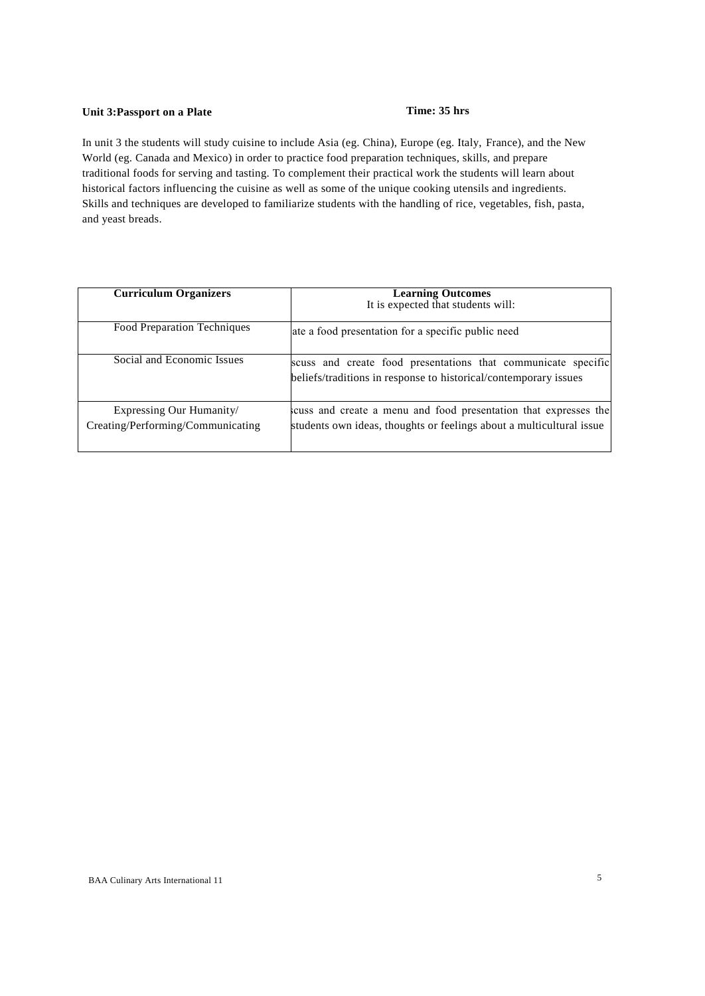## **Unit 3:Passport on a Plate Time: 35 hrs**

In unit 3 the students will study cuisine to include Asia (eg. China), Europe (eg. Italy, France), and the New World (eg. Canada and Mexico) in order to practice food preparation techniques, skills, and prepare traditional foods for serving and tasting. To complement their practical work the students will learn about historical factors influencing the cuisine as well as some of the unique cooking utensils and ingredients. Skills and techniques are developed to familiarize students with the handling of rice, vegetables, fish, pasta, and yeast breads.

| <b>Curriculum Organizers</b>                                  | <b>Learning Outcomes</b><br>It is expected that students will:                                                                           |
|---------------------------------------------------------------|------------------------------------------------------------------------------------------------------------------------------------------|
| <b>Food Preparation Techniques</b>                            | ate a food presentation for a specific public need                                                                                       |
| Social and Economic Issues                                    | scuss and create food presentations that communicate specific<br>beliefs/traditions in response to historical/contemporary issues        |
| Expressing Our Humanity/<br>Creating/Performing/Communicating | scuss and create a menu and food presentation that expresses the<br>students own ideas, thoughts or feelings about a multicultural issue |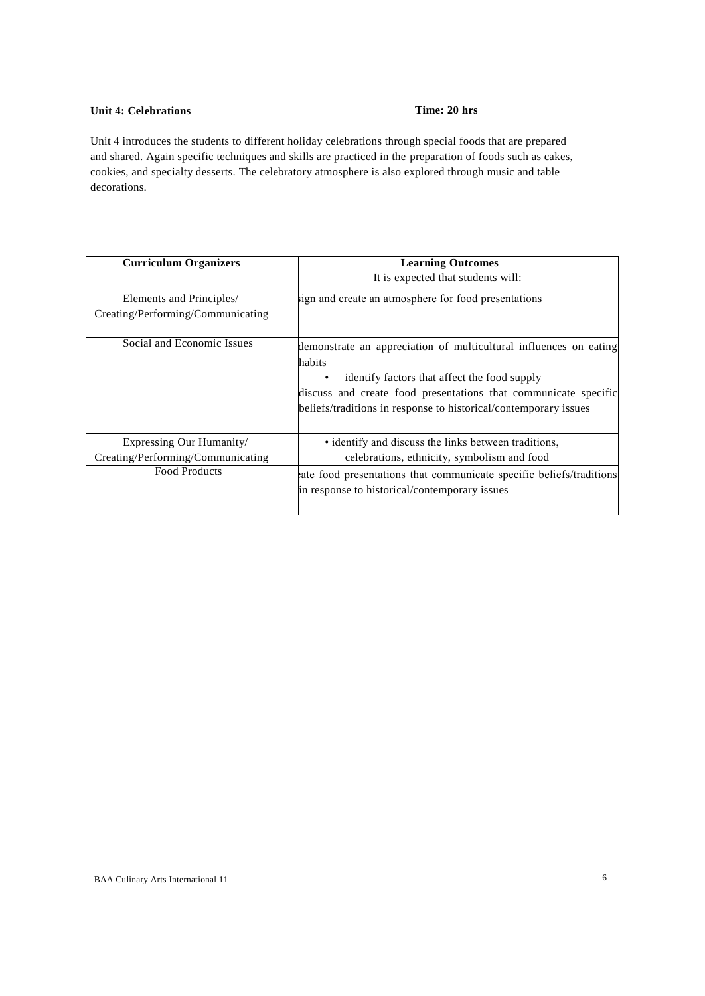## **Unit 4: Celebrations Time: 20 hrs**

Unit 4 introduces the students to different holiday celebrations through special foods that are prepared and shared. Again specific techniques and skills are practiced in the preparation of foods such as cakes, cookies, and specialty desserts. The celebratory atmosphere is also explored through music and table decorations.

| <b>Curriculum Organizers</b>      | <b>Learning Outcomes</b>                                            |
|-----------------------------------|---------------------------------------------------------------------|
|                                   | It is expected that students will:                                  |
| Elements and Principles/          | sign and create an atmosphere for food presentations                |
| Creating/Performing/Communicating |                                                                     |
| Social and Economic Issues        | demonstrate an appreciation of multicultural influences on eating   |
|                                   | habits                                                              |
|                                   | identify factors that affect the food supply                        |
|                                   | discuss and create food presentations that communicate specific     |
|                                   | beliefs/traditions in response to historical/contemporary issues    |
|                                   |                                                                     |
| Expressing Our Humanity/          | • identify and discuss the links between traditions,                |
| Creating/Performing/Communicating | celebrations, ethnicity, symbolism and food                         |
| <b>Food Products</b>              | ate food presentations that communicate specific beliefs/traditions |
|                                   | in response to historical/contemporary issues                       |
|                                   |                                                                     |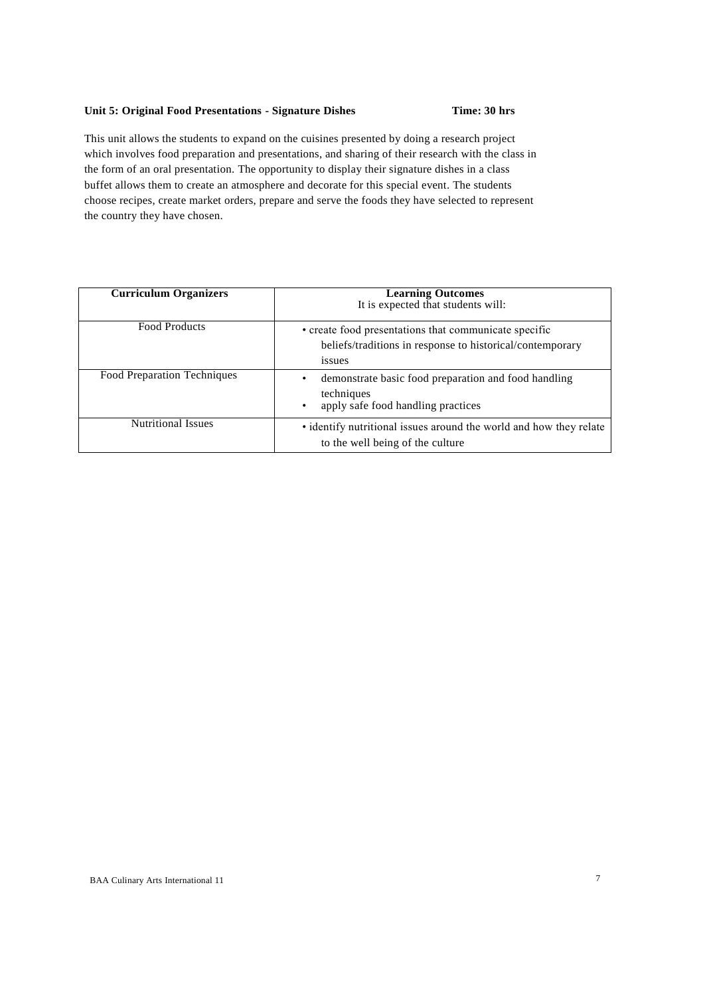## **Unit 5: Original Food Presentations - Signature Dishes Time: 30 hrs**

This unit allows the students to expand on the cuisines presented by doing a research project which involves food preparation and presentations, and sharing of their research with the class in the form of an oral presentation. The opportunity to display their signature dishes in a class buffet allows them to create an atmosphere and decorate for this special event. The students choose recipes, create market orders, prepare and serve the foods they have selected to represent the country they have chosen.

| <b>Curriculum Organizers</b> | <b>Learning Outcomes</b><br>It is expected that students will:                                                               |
|------------------------------|------------------------------------------------------------------------------------------------------------------------------|
| <b>Food Products</b>         | • create food presentations that communicate specific<br>beliefs/traditions in response to historical/contemporary<br>issues |
| Food Preparation Techniques  | demonstrate basic food preparation and food handling<br>techniques<br>apply safe food handling practices                     |
| <b>Nutritional Issues</b>    | • identify nutritional issues around the world and how they relate<br>to the well being of the culture                       |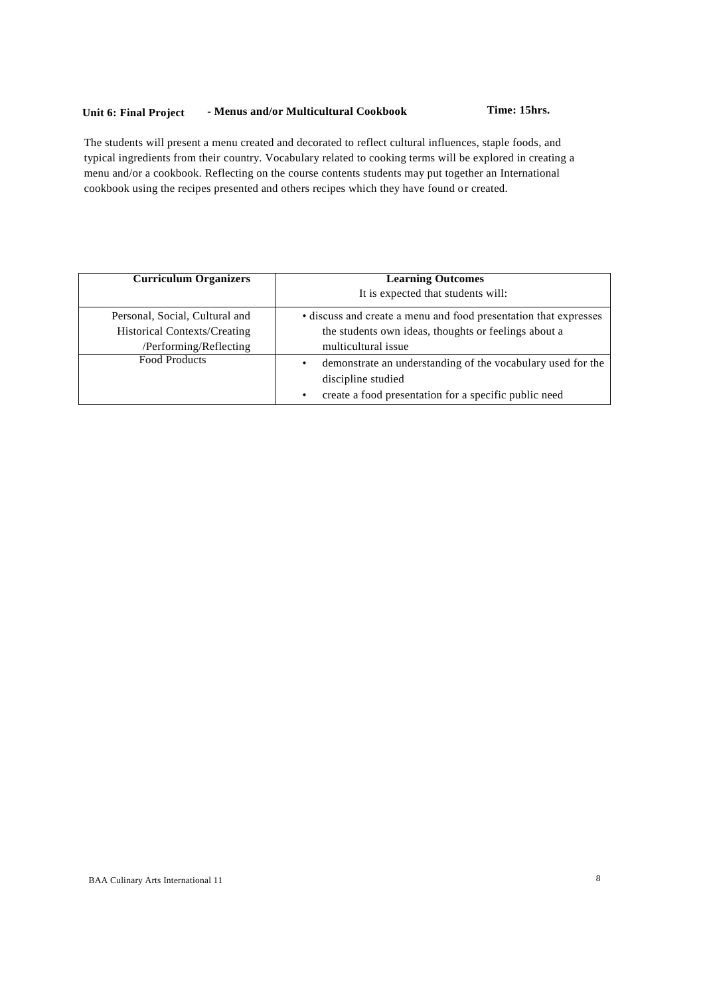## **Unit 6: Final Project - Menus and/or Multicultural Cookbook Time: 15hrs.**

The students will present a menu created and decorated to reflect cultural influences, staple foods, and typical ingredients from their country. Vocabulary related to cooking terms will be explored in creating a menu and/or a cookbook. Reflecting on the course contents students may put together an International cookbook using the recipes presented and others recipes which they have found or created.

| <b>Curriculum Organizers</b>        | <b>Learning Outcomes</b>                                                               |
|-------------------------------------|----------------------------------------------------------------------------------------|
|                                     | It is expected that students will:                                                     |
| Personal, Social, Cultural and      | • discuss and create a menu and food presentation that expresses                       |
| <b>Historical Contexts/Creating</b> | the students own ideas, thoughts or feelings about a                                   |
| /Performing/Reflecting              | multicultural issue                                                                    |
| <b>Food Products</b>                | demonstrate an understanding of the vocabulary used for the<br>٠<br>discipline studied |
|                                     | create a food presentation for a specific public need                                  |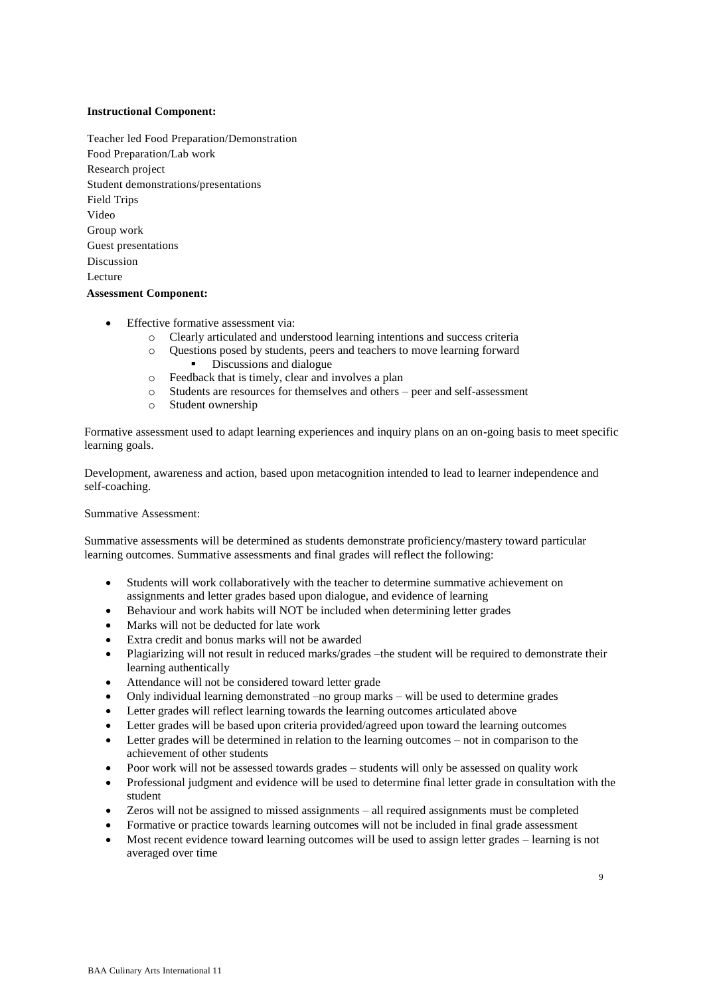### **Instructional Component:**

- Teacher led Food Preparation/Demonstration Food Preparation/Lab work Research project Student demonstrations/presentations Field Trips Video Group work Guest presentations Discussion Lecture **Assessment Component:**
	- Effective formative assessment via:
		- o Clearly articulated and understood learning intentions and success criteria
		- o Questions posed by students, peers and teachers to move learning forward • Discussions and dialogue
		- o Feedback that is timely, clear and involves a plan
		- o Students are resources for themselves and others peer and self-assessment
		- o Student ownership

Formative assessment used to adapt learning experiences and inquiry plans on an on-going basis to meet specific learning goals.

Development, awareness and action, based upon metacognition intended to lead to learner independence and self-coaching.

Summative Assessment:

Summative assessments will be determined as students demonstrate proficiency/mastery toward particular learning outcomes. Summative assessments and final grades will reflect the following:

- Students will work collaboratively with the teacher to determine summative achievement on assignments and letter grades based upon dialogue, and evidence of learning
- Behaviour and work habits will NOT be included when determining letter grades
- Marks will not be deducted for late work
- Extra credit and bonus marks will not be awarded
- Plagiarizing will not result in reduced marks/grades –the student will be required to demonstrate their learning authentically
- Attendance will not be considered toward letter grade
- Only individual learning demonstrated –no group marks will be used to determine grades
- Letter grades will reflect learning towards the learning outcomes articulated above
- Letter grades will be based upon criteria provided/agreed upon toward the learning outcomes
- Letter grades will be determined in relation to the learning outcomes not in comparison to the achievement of other students
- Poor work will not be assessed towards grades students will only be assessed on quality work
- Professional judgment and evidence will be used to determine final letter grade in consultation with the student
- Zeros will not be assigned to missed assignments all required assignments must be completed
- Formative or practice towards learning outcomes will not be included in final grade assessment
- Most recent evidence toward learning outcomes will be used to assign letter grades learning is not averaged over time